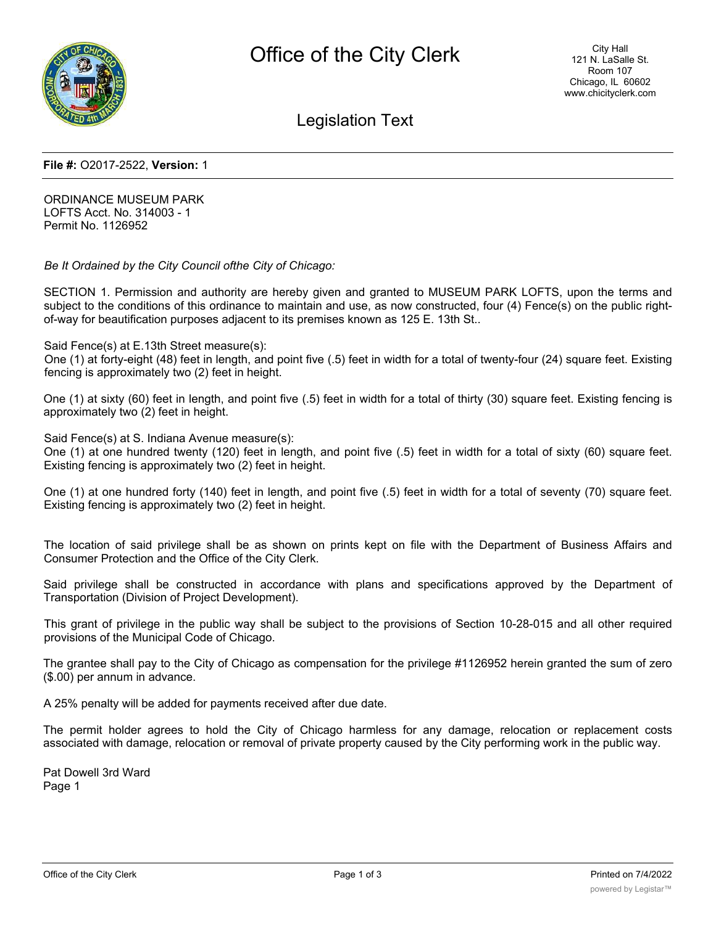

Legislation Text

## **File #:** O2017-2522, **Version:** 1

ORDINANCE MUSEUM PARK LOFTS Acct. No. 314003 - 1 Permit No. 1126952

*Be It Ordained by the City Council ofthe City of Chicago:*

SECTION 1. Permission and authority are hereby given and granted to MUSEUM PARK LOFTS, upon the terms and subject to the conditions of this ordinance to maintain and use, as now constructed, four (4) Fence(s) on the public rightof-way for beautification purposes adjacent to its premises known as 125 E. 13th St..

Said Fence(s) at E.13th Street measure(s):

One (1) at forty-eight (48) feet in length, and point five (.5) feet in width for a total of twenty-four (24) square feet. Existing fencing is approximately two (2) feet in height.

One (1) at sixty (60) feet in length, and point five (.5) feet in width for a total of thirty (30) square feet. Existing fencing is approximately two (2) feet in height.

Said Fence(s) at S. Indiana Avenue measure(s):

One (1) at one hundred twenty (120) feet in length, and point five (.5) feet in width for a total of sixty (60) square feet. Existing fencing is approximately two (2) feet in height.

One (1) at one hundred forty (140) feet in length, and point five (.5) feet in width for a total of seventy (70) square feet. Existing fencing is approximately two (2) feet in height.

The location of said privilege shall be as shown on prints kept on file with the Department of Business Affairs and Consumer Protection and the Office of the City Clerk.

Said privilege shall be constructed in accordance with plans and specifications approved by the Department of Transportation (Division of Project Development).

This grant of privilege in the public way shall be subject to the provisions of Section 10-28-015 and all other required provisions of the Municipal Code of Chicago.

The grantee shall pay to the City of Chicago as compensation for the privilege #1126952 herein granted the sum of zero (\$.00) per annum in advance.

A 25% penalty will be added for payments received after due date.

The permit holder agrees to hold the City of Chicago harmless for any damage, relocation or replacement costs associated with damage, relocation or removal of private property caused by the City performing work in the public way.

Pat Dowell 3rd Ward Page 1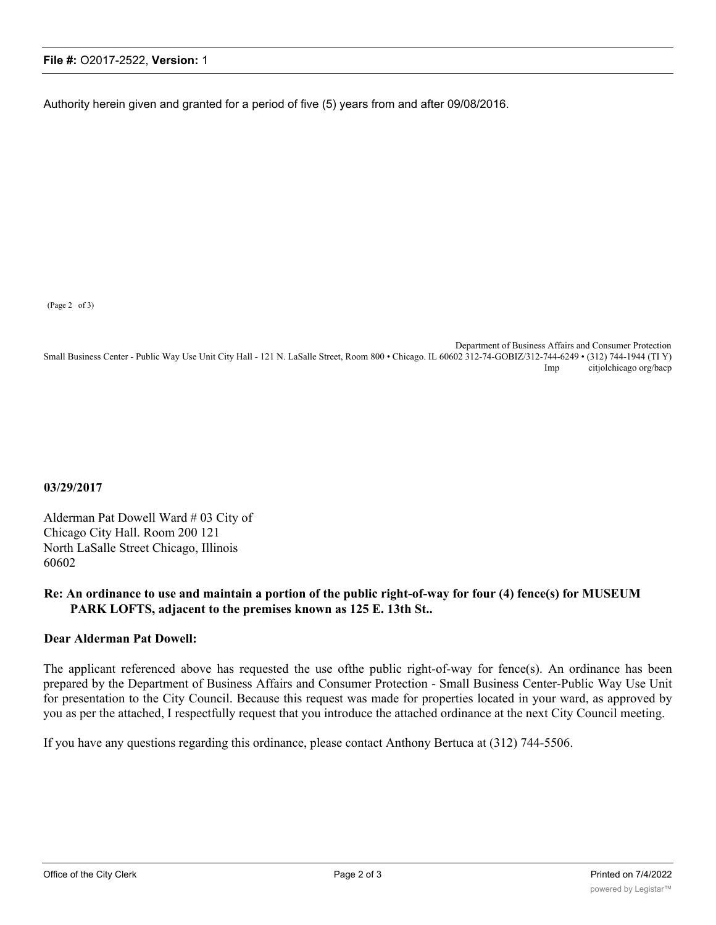## **File #:** O2017-2522, **Version:** 1

Authority herein given and granted for a period of five (5) years from and after 09/08/2016.

(Page 2 of 3)

Department of Business Affairs and Consumer Protection Small Business Center - Public Way Use Unit City Hall - 121 N. LaSalle Street, Room 800 • Chicago. IL 60602 312-74-GOBIZ/312-744-6249 • (312) 744-1944 (TI Y) Imp citjolchicago org/bacp

**03/29/2017**

Alderman Pat Dowell Ward # 03 City of Chicago City Hall. Room 200 121 North LaSalle Street Chicago, Illinois 60602

## **Re: An ordinance to use and maintain a portion of the public right-of-way for four (4) fence(s) for MUSEUM PARK LOFTS, adjacent to the premises known as 125 E. 13th St..**

## **Dear Alderman Pat Dowell:**

The applicant referenced above has requested the use ofthe public right-of-way for fence(s). An ordinance has been prepared by the Department of Business Affairs and Consumer Protection - Small Business Center-Public Way Use Unit for presentation to the City Council. Because this request was made for properties located in your ward, as approved by you as per the attached, I respectfully request that you introduce the attached ordinance at the next City Council meeting.

If you have any questions regarding this ordinance, please contact Anthony Bertuca at (312) 744-5506.